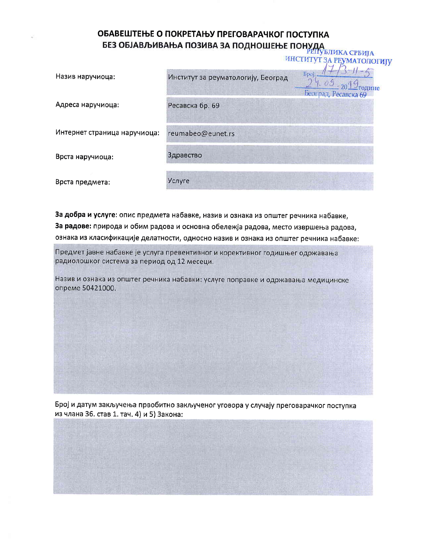## ОБАВЕШТЕЊЕ О ПОКРЕТАЊУ ПРЕГОВАРАЧКОГ ПОСТУПКА БЕЗ ОБЈАВЉИВАЊА ПОЗИВА ЗА ПОДНОШЕЊЕ ПОНУДА<br>БЕЗ ОБЈАВЉИВАЊА ПОЗИВА ЗА ПОДНОШЕЊЕ ПОНУДА

|                              |                                    | ИНСТИТУТ ЗА РЕУМАТОЛОГИЈУ                                |
|------------------------------|------------------------------------|----------------------------------------------------------|
| Назив наручиоца:             | Институт за реуматологију, Београд | Број<br>$09-$<br><u>- тодине</u><br>Београд, Ресавска 69 |
| Адреса наручиоца:            | Ресавска бр. 69                    |                                                          |
| Интернет страница наручиоца: | reumabeo@eunet.rs                  |                                                          |
| Врста наручиоца:             | Здравство                          |                                                          |
| Врста предмета:              | Услуге                             |                                                          |

За добра и услуге: опис предмета набавке, назив и ознака из општег речника набавке, За радове: природа и обим радова и основна обележја радова, место извршења радова, ознака из класификације делатности, односно назив и ознака из општег речника набавке:

Предмет јавне набавке је услуга превентивног и корективног годишњег одржавања радиолошког система за период од 12 месеци.

Назив и ознака из општег речника набавки: услуге поправке и одржавања медицинске опреме 50421000.

Број и датум закључења првобитно закљученог уговора у случају преговарачког поступка из члана 36. став 1. тач. 4) и 5) Закона: